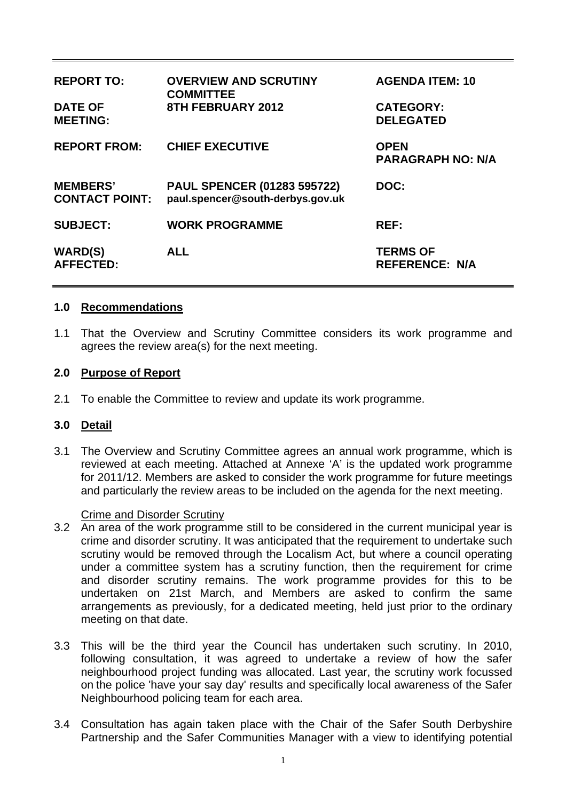| <b>REPORT TO:</b>                        | <b>OVERVIEW AND SCRUTINY</b><br><b>COMMITTEE</b>                       | <b>AGENDA ITEM: 10</b>                   |
|------------------------------------------|------------------------------------------------------------------------|------------------------------------------|
| <b>DATE OF</b><br><b>MEETING:</b>        | 8TH FEBRUARY 2012                                                      | <b>CATEGORY:</b><br><b>DELEGATED</b>     |
| <b>REPORT FROM:</b>                      | <b>CHIEF EXECUTIVE</b>                                                 | <b>OPEN</b><br><b>PARAGRAPH NO: N/A</b>  |
| <b>MEMBERS'</b><br><b>CONTACT POINT:</b> | <b>PAUL SPENCER (01283 595722)</b><br>paul.spencer@south-derbys.gov.uk | DOC:                                     |
| <b>SUBJECT:</b>                          | <b>WORK PROGRAMME</b>                                                  | REF:                                     |
| <b>WARD(S)</b><br><b>AFFECTED:</b>       | <b>ALL</b>                                                             | <b>TERMS OF</b><br><b>REFERENCE: N/A</b> |

### **1.0 Recommendations**

1.1 That the Overview and Scrutiny Committee considers its work programme and agrees the review area(s) for the next meeting.

#### **2.0 Purpose of Report**

2.1 To enable the Committee to review and update its work programme.

### **3.0 Detail**

3.1 The Overview and Scrutiny Committee agrees an annual work programme, which is reviewed at each meeting. Attached at Annexe 'A' is the updated work programme for 2011/12. Members are asked to consider the work programme for future meetings and particularly the review areas to be included on the agenda for the next meeting.

#### Crime and Disorder Scrutiny

- 3.2 An area of the work programme still to be considered in the current municipal year is crime and disorder scrutiny. It was anticipated that the requirement to undertake such scrutiny would be removed through the Localism Act, but where a council operating under a committee system has a scrutiny function, then the requirement for crime and disorder scrutiny remains. The work programme provides for this to be undertaken on 21st March, and Members are asked to confirm the same arrangements as previously, for a dedicated meeting, held just prior to the ordinary meeting on that date.
- 3.3 This will be the third year the Council has undertaken such scrutiny. In 2010, following consultation, it was agreed to undertake a review of how the safer neighbourhood project funding was allocated. Last year, the scrutiny work focussed on the police 'have your say day' results and specifically local awareness of the Safer Neighbourhood policing team for each area.
- 3.4 Consultation has again taken place with the Chair of the Safer South Derbyshire Partnership and the Safer Communities Manager with a view to identifying potential